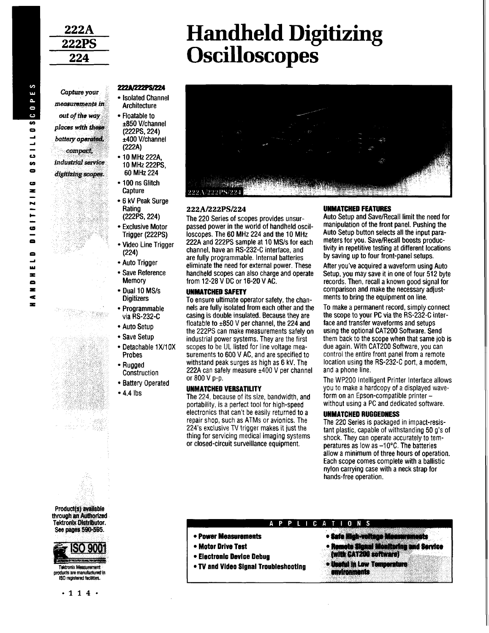*Capture your measurements in out of the way places with these battery operated. compact, industrial service digitizing scopes.*

# **Handheld Digitizing Oscilloscopes**

# $\sim$  $\overline{\mathbf{u}}$  $\overline{\phantom{a}}$  $\bullet$  $\bullet$ S  $\bullet$ o **M**  $\blacksquare$ **C9**  $\overline{\mathbf{z}}$  $\overline{1}$ H cs  $\blacksquare$  $\blacksquare$  $\rightarrow$ ш  $\blacksquare$  $\blacksquare$  $\blacksquare$  $\tilde{\mathbf{r}}$

 $\blacksquare$ 



- Isolated Channel **Architecture**
- Floatable to ±850 V/channel (222PS, 224) ±400 V/channel (222A)
- 10 MHz 222A, 10 MHz222PS, 60 MHz 224
- 100 ns Glitch **Capture**
- 6 kV Peak Surge Rating (222PS, 224)
- Exclusive Motor Trigger (222PS)
- •Video Line Trigger (224)
- •Auto Trigger
- Save Reference Memory
- Dual 10 MS/s **Digitizers**
- Programmable via RS-232-C
- Auto Setup
- Save Setup

 $\mathbb{R}^n \times \mathbb{R}$  , where

- Detachable 1X/10X Probes
- Rugged **Construction**
- Battery Operated
- 4.4 lbs



# **222A/222PS/224**

The 220 Series of scopes provides unsurpassed power in the world of handheld oscilloscopes. The 60 MHz 224 and the 10 MHz 222A and 222PS sample at 10 MS/s for each channel, have an RS-232-C interface, and are fully programmable. Internal batteries eliminate the need for external power. These handheld scopes can also charge and operate from 12-28 V DC or 16-20 VAC.

### UNMATCHED SAFETY

To ensure ultimate operator safety, the channels are fully isolated from each other and the casing is double insulated. Because they are floatable to  $\pm 850$  V per channel, the 224 and the 222PS can make measurements safely on industrial power systems. They are the first scopes to be UL listed for line voltage measurements to 600 V AC, and are specified to withstand peak surges as high as 6 kV. The 222A can safely measure  $±400$  V per channel or 800 V p-p.

#### UNMATCHED VERSATILITY

The 224, because of its size, bandwidth, and portability, is a perfect tool for high-speed electronics that can't be easily returned to a repair shop, such as ATMs or avionics. The 224's exclusive TV trigger makes it just the thing for servicing medical imaging systems or closed-circuit surveillance equipment.

## UNMATCHED FEATURES

Auto Setup and Save/Recall limit the need for manipulation of the front panel. Pushing the Auto Setup button selects all the input parameters for you. Save/Recall boosts productivity in repetitive testing at different locations by saving up to four front-panel setups.

After you've acquired a waveform using Auto Setup, you may save it in one of four 512 byte records. Then, recall a known good signal for comparison and make the necessary adjustments to bring the equipment on line.

To make a permanent record, simply connect the scope to your PC via the RS-232-C interface and transfer waveforms and setups using the optional CAT200 Software. Send them back to the scope when that same job is due again. With CAT200 Software, you can control the entire front panel from a remote location using the RS-232-C port, a modem, and a phone line.

The WP200 Intelligent Printer Interface allows you to make a hardcopy of a displayed waveform on an Epson-compatible printer without using a PC and dedicated software.

#### UNMATCHED RUGGEDNESS

The 220 Series is packaged in impact-resistant plastic, capable of withstanding 50 g's of shock. They can operate accurately to temperatures as low as -10°C. The batteries allow a minimum of three hours of operation. Each scope comes complete with a ballistic nylon carrying case with a neck strap for hands-free operation.

Product(s) available through an Authorized Tektronix Distributor. See pages 590-595.



Tektronix Measurement products are manufactured in ISO registered (Belittles.

# **APPLICATIONS**

- Power Measurements
- Motor Drive Test
- Electronic Device Debug
- TV and Video Signal Troubleshooting
- **Safe Hlgb-voltaga Measurements**
- **Remote Signal Monitoring and Service (with CAT200 software)**
- **Useful In Low Temperature environments**